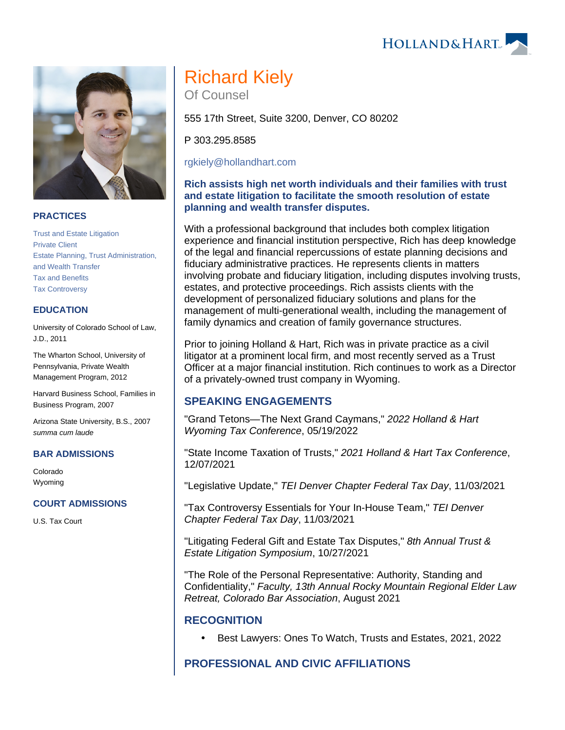## **PRACTICES**

[Trust and Estate Litigation](https://www.hollandhart.com/19712) [Private Client](https://www.hollandhart.com/30121) [Estate Planning, Trust Administration,](https://www.hollandhart.com/19734)  [and Wealth Transfer](https://www.hollandhart.com/19734) [Tax and Benefits](https://www.hollandhart.com/19755) [Tax Controversy](https://www.hollandhart.com/33124)

## **EDUCATION**

University of Colorado School of Law, J.D., 2011

The Wharton School, University of Pennsylvania, Private Wealth Management Program, 2012

Harvard Business School, Families in Business Program, 2007

Arizona State University, B.S., 2007 summa cum laude

### **BAR ADMISSIONS**

Colorado Wyoming

### **COURT ADMISSIONS**

U.S. Tax Court

# Richard Kiely

Of Counsel

555 17th Street, Suite 3200, Denver, CO 80202

P 303.295.8585

[rgkiely@hollandhart.com](mailto:rgkiely@hollandhart.com)

## **Rich assists high net worth individuals and their families with trust and estate litigation to facilitate the smooth resolution of estate planning and wealth transfer disputes.**

With a professional background that includes both complex litigation experience and financial institution perspective, Rich has deep knowledge of the legal and financial repercussions of estate planning decisions and fiduciary administrative practices. He represents clients in matters involving probate and fiduciary litigation, including disputes involving trusts, estates, and protective proceedings. Rich assists clients with the development of personalized fiduciary solutions and plans for the management of multi-generational wealth, including the management of family dynamics and creation of family governance structures.

Prior to joining Holland & Hart, Rich was in private practice as a civil litigator at a prominent local firm, and most recently served as a Trust Officer at a major financial institution. Rich continues to work as a Director of a privately-owned trust company in Wyoming.

## **SPEAKING ENGAGEMENTS**

"Grand Tetons—The Next Grand Caymans," 2022 Holland & Hart Wyoming Tax Conference, 05/19/2022

"State Income Taxation of Trusts," 2021 Holland & Hart Tax Conference, 12/07/2021

"Legislative Update," TEI Denver Chapter Federal Tax Day, 11/03/2021

"Tax Controversy Essentials for Your In-House Team," TEI Denver Chapter Federal Tax Day, 11/03/2021

"Litigating Federal Gift and Estate Tax Disputes," 8th Annual Trust & Estate Litigation Symposium, 10/27/2021

"The Role of the Personal Representative: Authority, Standing and Confidentiality," Faculty, 13th Annual Rocky Mountain Regional Elder Law Retreat, Colorado Bar Association, August 2021

## **RECOGNITION**

Best Lawyers: Ones To Watch, Trusts and Estates, 2021, 2022

# **PROFESSIONAL AND CIVIC AFFILIATIONS**